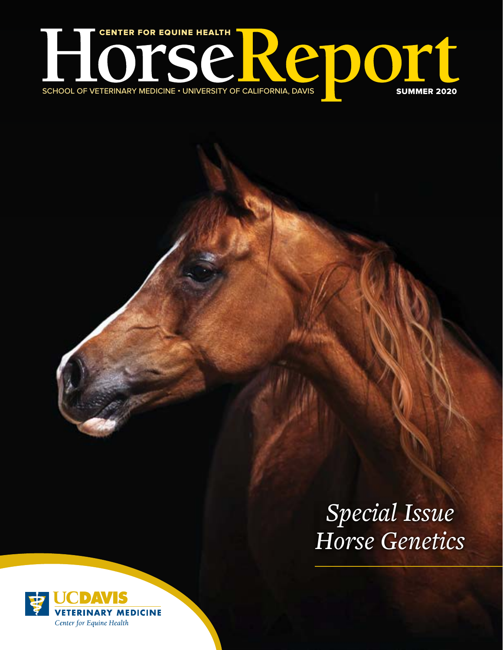

# *Special Issue Horse Genetics*

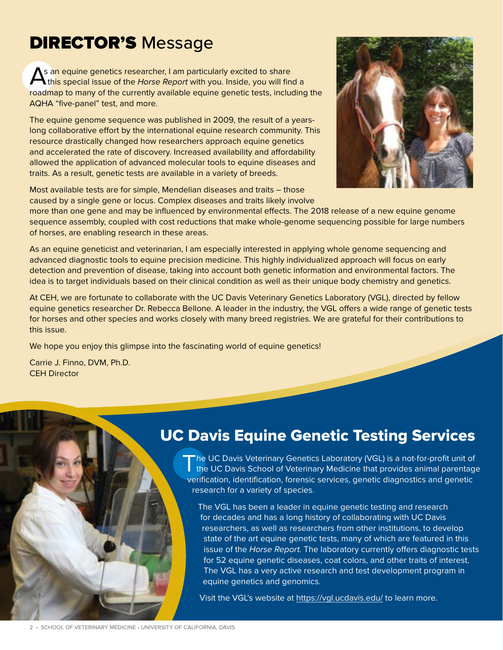## **DIRECTOR'S Message**

As an equine genetics researcher, I am particularly excited to share<br>this special issue of the *Horse Report* with you. Inside, you will find a roadmap to many of the currently available equine genetic tests, including the AQHA "five-panel" test, and more.

The equine genome sequence was published in 2009, the result of a yearslong collaborative effort by the international equine research community. This resource drastically changed how researchers approach equine genetics and accelerated the rate of discovery. Increased availability and affordability allowed the application of advanced molecular tools to equine diseases and traits. As a result, genetic tests are available in a variety of breeds.



Most available tests are for simple, Mendelian diseases and traits – those caused by a single gene or locus. Complex diseases and traits likely involve

more than one gene and may be influenced by environmental effects. The 2018 release of a new equine genome sequence assembly, coupled with cost reductions that make whole-genome sequencing possible for large numbers of horses, are enabling research in these areas.

As an equine geneticist and veterinarian, I am especially interested in applying whole genome sequencing and advanced diagnostic tools to equine precision medicine. This highly individualized approach will focus on early detection and prevention of disease, taking into account both genetic information and environmental factors. The idea is to target individuals based on their clinical condition as well as their unique body chemistry and genetics.

At CEH, we are fortunate to collaborate with the UC Davis Veterinary Genetics Laboratory (VGL), directed by fellow equine genetics researcher Dr. Rebecca Bellone. A leader in the industry, the VGL offers a wide range of genetic tests for horses and other species and works closely with many breed registries. We are grateful for their contributions to this issue.

We hope you enjoy this glimpse into the fascinating world of equine genetics!

Carrie J. Finno, DVM, Ph.D. CEH Director

## UC Davis Equine Genetic Testing Services

The UC Davis Veterinary Genetics Laboratory (VGL) is a not-for-profit unit of<br>the UC Davis School of Veterinary Medicine that provides animal parentage verification, identification, forensic services, genetic diagnostics and genetic research for a variety of species.

The VGL has been a leader in equine genetic testing and research for decades and has a long history of collaborating with UC Davis researchers, as well as researchers from other institutions, to develop state of the art equine genetic tests, many of which are featured in this issue of the *Horse Report.* The laboratory currently offers diagnostic tests for 52 equine genetic diseases, coat colors, and other traits of interest. The VGL has a very active research and test development program in equine genetics and genomics.

Visit the VGL's website at <https://vgl.ucdavis.edu/> to learn more.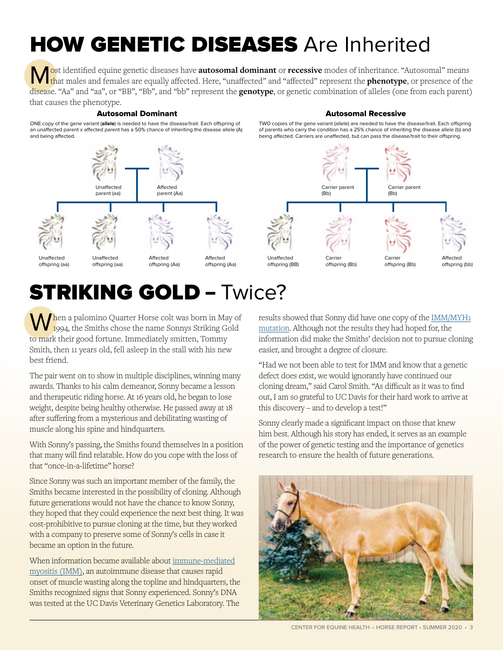# **HOW GENETIC DISEASES** Are Inherited

Source identified equine genetic diseases have **autosomal dominant** or **recessive** modes of inheritance. "Autosomal" means that males and females are equally affected. Here, "unaffected" and "affected" represent the **pheno** disease. "Aa" and "aa", or "BB", "Bb", and "bb" represent the **genotype**, or genetic combination of alleles (one from each parent) that causes the phenotype.

#### Autosomal Dominant Autosomal Recessive

### TWO copies of the gene variant (allele) are needed to have the disease/trait. Each offspring of parents who carry the condition has a 25% chance of inheriting the disease allele (b) and

being affected. Carriers are unaffected, but can pass the disease/trait to their offspring.

ONE copy of the gene variant (**allele**) is needed to have the disease/trait. Each offspring of an unaffected parent x affected parent has a 50% chance of inheriting the disease allele (A) and being affected.



offspring (aa)

offspring (aa)

Unaffected

offspring (Aa)



Carrier

Carrier parent (Bb)

> offspring (Bb) Carrier offspring (Bb)

Carrier parent (Bb)

> Affected offspring (bb)

## STRIKING GOLD – Twice?

offspring (Aa)

When a palomino Quarter Horse colt was born in May of  $1994$ , the Smiths chose the name Sonnys Striking Gold to mark their good fortune. Immediately smitten, Tommy Smith, then 11 years old, fell asleep in the stall with his new best friend.

The pair went on to show in multiple disciplines, winning many awards. Thanks to his calm demeanor, Sonny became a lesson and therapeutic riding horse. At 16 years old, he began to lose weight, despite being healthy otherwise. He passed away at 18 after suffering from a mysterious and debilitating wasting of muscle along his spine and hindquarters.

With Sonny's passing, the Smiths found themselves in a position that many will find relatable. How do you cope with the loss of that "once-in-a-lifetime" horse?

Since Sonny was such an important member of the family, the Smiths became interested in the possibility of cloning. Although future generations would not have the chance to know Sonny, they hoped that they could experience the next best thing. It was cost-prohibitive to pursue cloning at the time, but they worked with a company to preserve some of Sonny's cells in case it became an option in the future.

When information became available about [immune-mediated](https://ceh.vetmed.ucdavis.edu/health-topics/immune-mediated-myositis) [myositis \(IMM\)](https://ceh.vetmed.ucdavis.edu/health-topics/immune-mediated-myositis), an autoimmune disease that causes rapid onset of muscle wasting along the topline and hindquarters, the Smiths recognized signs that Sonny experienced. Sonny's DNA was tested at the UC Davis Veterinary Genetics Laboratory. The

results showed that Sonny did have one copy of the [IMM/MYH1](https://vgl.ucdavis.edu/test/imm) [mutation](https://vgl.ucdavis.edu/test/imm). Although not the results they had hoped for, the information did make the Smiths' decision not to pursue cloning easier, and brought a degree of closure.

"Had we not been able to test for IMM and know that a genetic defect does exist, we would ignorantly have continued our cloning dream," said Carol Smith. "As difficult as it was to find out, I am so grateful to UC Davis for their hard work to arrive at this discovery – and to develop a test!"

Sonny clearly made a significant impact on those that knew him best. Although his story has ended, it serves as an example of the power of genetic testing and the importance of genetics research to ensure the health of future generations.

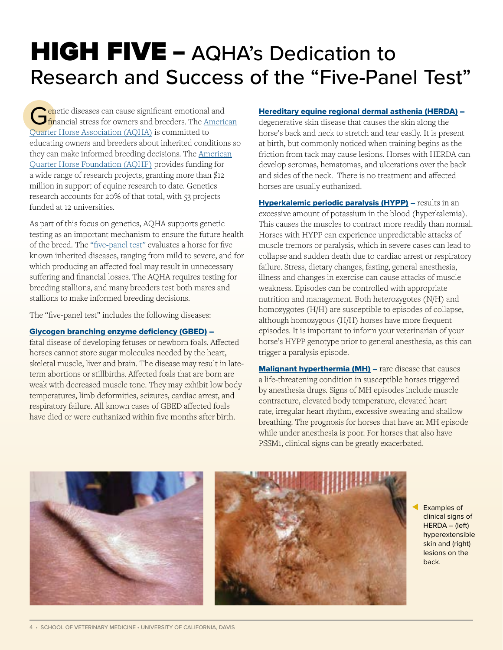# **HIGH FIVE - AQHA's Dedication to** Research and Success of the "Five-Panel Test"

Genetic diseases can cause significant emotional and financial stress for owners and breeders. The <u>American</u> [Quarter Horse Association \(AQHA\)](https://www.aqha.com/) is committed to educating owners and breeders about inherited conditions so they can make informed breeding decisions. The [American](https://aqhfoundation.smapply.io/) [Quarter Horse Foundation \(AQHF\)](https://aqhfoundation.smapply.io/) provides funding for a wide range of research projects, granting more than \$12 million in support of equine research to date. Genetics research accounts for 20% of that total, with 53 projects funded at 12 universities.

As part of this focus on genetics, AQHA supports genetic testing as an important mechanism to ensure the future health of the breed. The ["five-panel test"](https://vgl.ucdavis.edu/panel/quarter-horse-disease-panel) evaluates a horse for five known inherited diseases, ranging from mild to severe, and for which producing an affected foal may result in unnecessary suffering and financial losses. The AQHA requires testing for breeding stallions, and many breeders test both mares and stallions to make informed breeding decisions.

The "five-panel test" includes the following diseases:

#### [Glycogen branching enzyme deficiency \(GBED\)](https://ceh.vetmed.ucdavis.edu/health-topics/glycogen-branching-enzyme-deficiency-gbed) –

fatal disease of developing fetuses or newborn foals. Affected horses cannot store sugar molecules needed by the heart, skeletal muscle, liver and brain. The disease may result in lateterm abortions or stillbirths. Affected foals that are born are weak with decreased muscle tone. They may exhibit low body temperatures, limb deformities, seizures, cardiac arrest, and respiratory failure. All known cases of GBED affected foals have died or were euthanized within five months after birth.

#### [Hereditary equine regional dermal asthenia \(HERDA\)](https://ceh.vetmed.ucdavis.edu/health-topics/hereditary-equine-regional-dermal-asthenia-herda) –

degenerative skin disease that causes the skin along the horse's back and neck to stretch and tear easily. It is present at birth, but commonly noticed when training begins as the friction from tack may cause lesions. Horses with HERDA can develop seromas, hematomas, and ulcerations over the back and sides of the neck. There is no treatment and affected horses are usually euthanized.

**[Hyperkalemic periodic paralysis \(HYPP\)](https://ceh.vetmed.ucdavis.edu/health-topics/hyperkalemic-periodic-paralysis-hypp)** – results in an excessive amount of potassium in the blood (hyperkalemia). This causes the muscles to contract more readily than normal. Horses with HYPP can experience unpredictable attacks of muscle tremors or paralysis, which in severe cases can lead to collapse and sudden death due to cardiac arrest or respiratory failure. Stress, dietary changes, fasting, general anesthesia, illness and changes in exercise can cause attacks of muscle weakness. Episodes can be controlled with appropriate nutrition and management. Both heterozygotes (N/H) and homozygotes (H/H) are susceptible to episodes of collapse, although homozygous (H/H) horses have more frequent episodes. It is important to inform your veterinarian of your horse's HYPP genotype prior to general anesthesia, as this can trigger a paralysis episode.

[Malignant hyperthermia \(MH\)](https://ceh.vetmed.ucdavis.edu/health-topics/malignant-hyperthermia-mh) – rare disease that causes a life-threatening condition in susceptible horses triggered by anesthesia drugs. Signs of MH episodes include muscle contracture, elevated body temperature, elevated heart rate, irregular heart rhythm, excessive sweating and shallow breathing. The prognosis for horses that have an MH episode while under anesthesia is poor. For horses that also have PSSM1, clinical signs can be greatly exacerbated.



Examples of clinical signs of HERDA – (left) hyperextensible skin and (right) lesions on the back.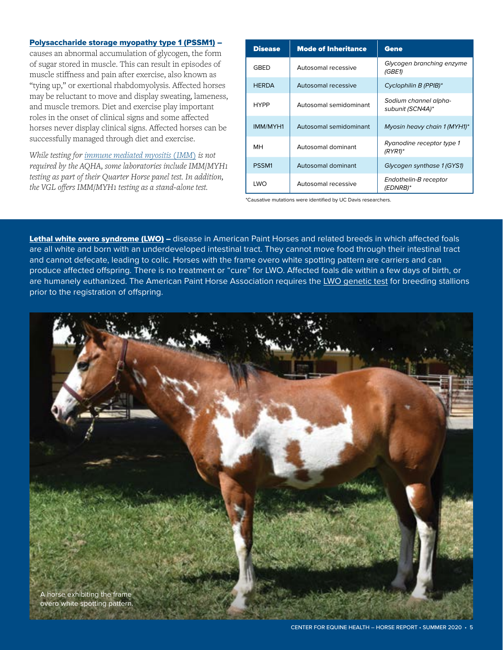#### [Polysaccharide storage myopathy type 1 \(PSSM1\)](https://ceh.vetmed.ucdavis.edu/health-topics/polysaccharide-storage-myopathy-pssm) –

causes an abnormal accumulation of glycogen, the form of sugar stored in muscle. This can result in episodes of muscle stiffness and pain after exercise, also known as "tying up," or exertional rhabdomyolysis. Affected horses may be reluctant to move and display sweating, lameness, and muscle tremors. Diet and exercise play important roles in the onset of clinical signs and some affected horses never display clinical signs. Affected horses can be successfully managed through diet and exercise.

*While testing for [immune mediated myositis \(IMM\)](https://ceh.vetmed.ucdavis.edu/health-topics/immune-mediated-myositis) is not required by the AQHA, some laboratories include IMM/MYH1 testing as part of their Quarter Horse panel test. In addition, the VGL offers IMM/MYH1 testing as a stand-alone test.*

| <b>Disease</b> | <b>Mode of Inheritance</b> | Gene                                      |
|----------------|----------------------------|-------------------------------------------|
| <b>GBED</b>    | Autosomal recessive        | Glycogen branching enzyme<br>(GBE1)       |
| <b>HERDA</b>   | Autosomal recessive        | Cyclophilin B (PPIB)*                     |
| <b>HYPP</b>    | Autosomal semidominant     | Sodium channel alpha-<br>subunit (SCN4A)* |
| IMM/MYH1       | Autosomal semidominant     | Myosin heavy chain 1 (MYH1)*              |
| MН             | Autosomal dominant         | Ryanodine receptor type 1<br>$(RYR1)$ *   |
| PSSM1          | Autosomal dominant         | Glycogen synthase 1 (GYS1)                |
| LWO            | Autosomal recessive        | Endothelin-B receptor<br>(EDNRB)*         |

\*Causative mutations were identified by UC Davis researchers.

[Lethal white overo syndrome \(LWO\)](https://ceh.vetmed.ucdavis.edu/health-topics/lethal-white-overo-syndrome-lwo) – disease in American Paint Horses and related breeds in which affected foals are all white and born with an underdeveloped intestinal tract. They cannot move food through their intestinal tract and cannot defecate, leading to colic. Horses with the frame overo white spotting pattern are carriers and can produce affected offspring. There is no treatment or "cure" for LWO. Affected foals die within a few days of birth, or are humanely euthanized. The American Paint Horse Association requires the [LWO genetic test](https://vgl.ucdavis.edu/test/lethal-white-overo) for breeding stallions prior to the registration of offspring.

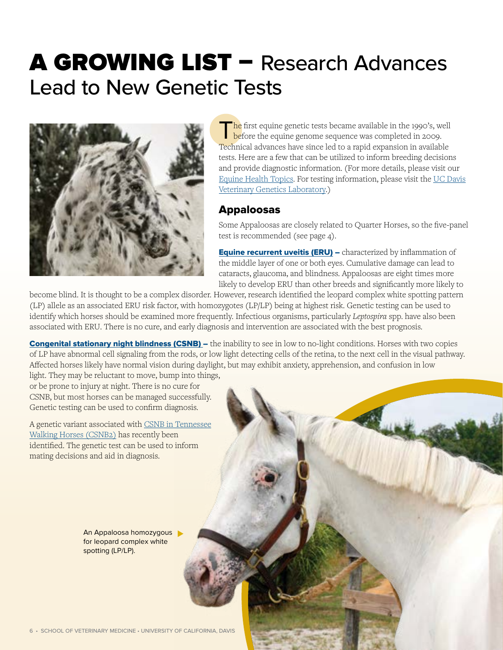# A GROWING LIST – Research Advances Lead to New Genetic Tests



The first equine genetic tests became available in the 1990's, well before the equine genome sequence was completed in 2009. Technical advances have since led to a rapid expansion in available tests. Here are a few that can be utilized to inform breeding decisions and provide diagnostic information. (For more details, please visit our [Equine Health Topics.](https://ceh.vetmed.ucdavis.edu/health-topics) For testing information, please visit the [UC Davis](https://vgl.ucdavis.edu/) [Veterinary Genetics Laboratory](https://vgl.ucdavis.edu/).)

## Appaloosas

Some Appaloosas are closely related to Quarter Horses, so the five-panel test is recommended (see page 4).

**[Equine recurrent uveitis \(ERU\)](https://ceh.vetmed.ucdavis.edu/news/equine-recurrent-uveitis)** – characterized by inflammation of the middle layer of one or both eyes. Cumulative damage can lead to cataracts, glaucoma, and blindness. Appaloosas are eight times more likely to develop ERU than other breeds and significantly more likely to

become blind. It is thought to be a complex disorder. However, research identified the leopard complex white spotting pattern (LP) allele as an associated ERU risk factor, with homozygotes (LP/LP) being at highest risk. Genetic testing can be used to identify which horses should be examined more frequently. Infectious organisms, particularly *Leptospira* spp. have also been associated with ERU. There is no cure, and early diagnosis and intervention are associated with the best prognosis.

**Congenital stationary night blindness (CSNB)** – the inability to see in low to no-light conditions. Horses with two copies of LP have abnormal cell signaling from the rods, or low light detecting cells of the retina, to the next cell in the visual pathway. Affected horses likely have normal vision during daylight, but may exhibit anxiety, apprehension, and confusion in low light. They may be reluctant to move, bump into things,

or be prone to injury at night. There is no cure for CSNB, but most horses can be managed successfully. Genetic testing can be used to confirm diagnosis.

A genetic variant associated with [CSNB in Tennessee](https://vgl.ucdavis.edu/test/csnb-tennessee-walking-horse) [Walking Horses \(CSNB2\)](https://vgl.ucdavis.edu/test/csnb-tennessee-walking-horse) has recently been identified. The genetic test can be used to inform mating decisions and aid in diagnosis.

> An Appaloosa homozygous for leopard complex white spotting (LP/LP).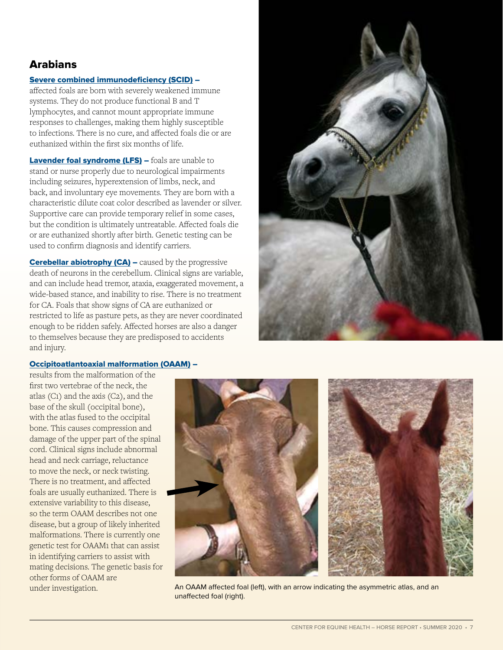## Arabians

#### [Severe combined immunodeficiency \(SCID\)](https://ceh.vetmed.ucdavis.edu/health-topics/severe-combined-immunodeficiency-scid) –

affected foals are born with severely weakened immune systems. They do not produce functional B and T lymphocytes, and cannot mount appropriate immune responses to challenges, making them highly susceptible to infections. There is no cure, and affected foals die or are euthanized within the first six months of life.

[Lavender foal syndrome \(LFS\)](https://ceh.vetmed.ucdavis.edu/health-topics/lavender-foal-syndrome-lfs) – foals are unable to stand or nurse properly due to neurological impairments including seizures, hyperextension of limbs, neck, and back, and involuntary eye movements. They are born with a characteristic dilute coat color described as lavender or silver. Supportive care can provide temporary relief in some cases, but the condition is ultimately untreatable. Affected foals die or are euthanized shortly after birth. Genetic testing can be used to confirm diagnosis and identify carriers.

**Cerebellar abiotrophy (CA)** – caused by the progressive death of neurons in the cerebellum. Clinical signs are variable, and can include head tremor, ataxia, exaggerated movement, a wide-based stance, and inability to rise. There is no treatment for CA. Foals that show signs of CA are euthanized or restricted to life as pasture pets, as they are never coordinated enough to be ridden safely. Affected horses are also a danger to themselves because they are predisposed to accidents and injury.



#### [Occipitoatlantoaxial malformation \(OAAM\)](https://ceh.vetmed.ucdavis.edu/health-topics/occipitoatlantoaxial-malformation-oaam) –

results from the malformation of the first two vertebrae of the neck, the atlas (C1) and the axis (C2), and the base of the skull (occipital bone), with the atlas fused to the occipital bone. This causes compression and damage of the upper part of the spinal cord. Clinical signs include abnormal head and neck carriage, reluctance to move the neck, or neck twisting. There is no treatment, and affected foals are usually euthanized. There is extensive variability to this disease, so the term OAAM describes not one disease, but a group of likely inherited malformations. There is currently one genetic test for OAAM1 that can assist in identifying carriers to assist with mating decisions. The genetic basis for other forms of OAAM are



under investigation. **An OAAM affected foal (left), with an arrow indicating the asymmetric atlas, and an** unaffected foal (right).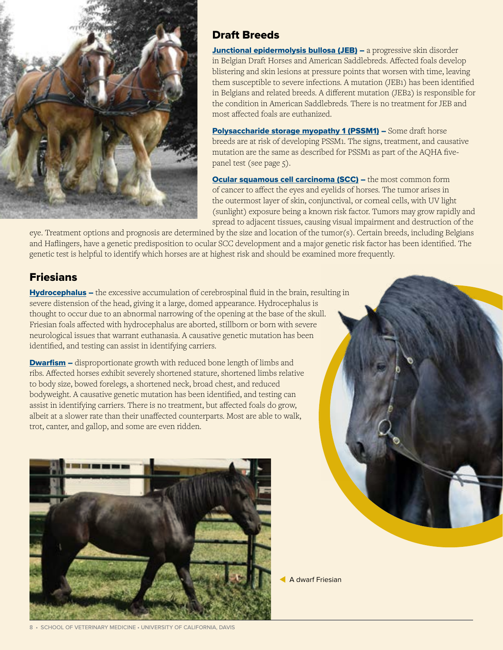

## Draft Breeds

[Junctional epidermolysis bullosa \(JEB\)](https://ceh.vetmed.ucdavis.edu/health-topics/junctional-epidermolysis-bullosa-jeb) - a progressive skin disorder in Belgian Draft Horses and American Saddlebreds. Affected foals develop blistering and skin lesions at pressure points that worsen with time, leaving them susceptible to severe infections. A mutation (JEB1) has been identified in Belgians and related breeds. A different mutation (JEB2) is responsible for the condition in American Saddlebreds. There is no treatment for JEB and most affected foals are euthanized.

[Polysaccharide storage myopathy 1 \(PSSM1\)](https://ceh.vetmed.ucdavis.edu/health-topics/polysaccharide-storage-myopathy-pssm) - Some draft horse breeds are at risk of developing PSSM1. The signs, treatment, and causative mutation are the same as described for PSSM1 as part of the AQHA fivepanel test (see page 5).

**[Ocular squamous cell carcinoma \(SCC\)](https://ceh.vetmed.ucdavis.edu/health-topics/ocular-squamous-cell-carcinoma) –** the most common form of cancer to affect the eyes and eyelids of horses. The tumor arises in the outermost layer of skin, conjunctival, or corneal cells, with UV light (sunlight) exposure being a known risk factor. Tumors may grow rapidly and spread to adjacent tissues, causing visual impairment and destruction of the

eye. Treatment options and prognosis are determined by the size and location of the tumor(s). Certain breeds, including Belgians and Haflingers, have a genetic predisposition to ocular SCC development and a major genetic risk factor has been identified. The genetic test is helpful to identify which horses are at highest risk and should be examined more frequently.

## Friesians

[Hydrocephalus](https://ceh.vetmed.ucdavis.edu/health-topics/hydrocephalus) – the excessive accumulation of cerebrospinal fluid in the brain, resulting in severe distension of the head, giving it a large, domed appearance. Hydrocephalus is thought to occur due to an abnormal narrowing of the opening at the base of the skull. Friesian foals affected with hydrocephalus are aborted, stillborn or born with severe neurological issues that warrant euthanasia. A causative genetic mutation has been identified, and testing can assist in identifying carriers.

**[Dwarfism](https://ceh.vetmed.ucdavis.edu/health-topics/friesian-dwarfism)** – disproportionate growth with reduced bone length of limbs and ribs. Affected horses exhibit severely shortened stature, shortened limbs relative to body size, bowed forelegs, a shortened neck, broad chest, and reduced bodyweight. A causative genetic mutation has been identified, and testing can assist in identifying carriers. There is no treatment, but affected foals do grow, albeit at a slower rate than their unaffected counterparts. Most are able to walk, trot, canter, and gallop, and some are even ridden.





A dwarf Friesian

8 • SCHOOL OF VETERINARY MEDICINE • UNIVERSITY OF CALIFORNIA, DAVIS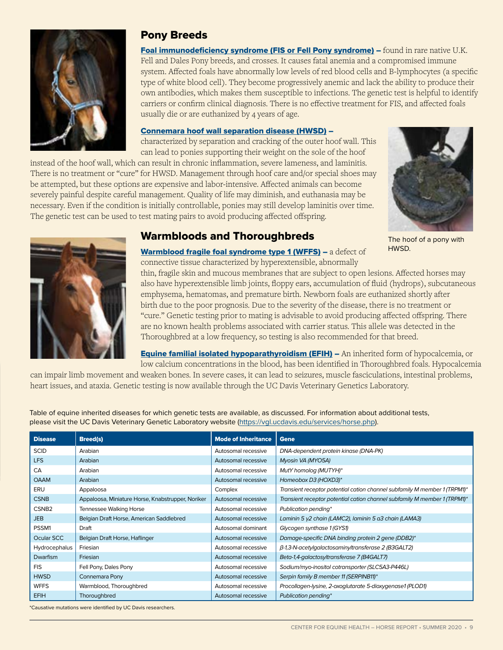

### Pony Breeds

[Foal immunodeficiency syndrome \(FIS or Fell Pony syndrome\)](https://ceh.vetmed.ucdavis.edu/health-topics/foal-immunodeficiency-syndrome-fis) – found in rare native U.K. Fell and Dales Pony breeds, and crosses. It causes fatal anemia and a compromised immune system. Affected foals have abnormally low levels of red blood cells and B-lymphocytes (a specific type of white blood cell). They become progressively anemic and lack the ability to produce their own antibodies, which makes them susceptible to infections. The genetic test is helpful to identify carriers or confirm clinical diagnosis. There is no effective treatment for FIS, and affected foals usually die or are euthanized by 4 years of age.

#### [Connemara hoof wall separation disease \(HWSD\)](https://ceh.vetmed.ucdavis.edu/news/hoof-wall-separation-disease-hwsd) –

characterized by separation and cracking of the outer hoof wall. This can lead to ponies supporting their weight on the sole of the hoof

instead of the hoof wall, which can result in chronic inflammation, severe lameness, and laminitis. There is no treatment or "cure" for HWSD. Management through hoof care and/or special shoes may be attempted, but these options are expensive and labor-intensive. Affected animals can become severely painful despite careful management. Quality of life may diminish, and euthanasia may be necessary. Even if the condition is initially controllable, ponies may still develop laminitis over time. The genetic test can be used to test mating pairs to avoid producing affected offspring.





## Warmbloods and Thoroughbreds

The hoof of a pony with HWSD.

#### [Warmblood fragile foal syndrome type 1 \(WFFS\)](https://ceh.vetmed.ucdavis.edu/health-topics/warmblood-fragile-foal-syndrome-type-1-wffs) - a defect of connective tissue characterized by hyperextensible, abnormally

thin, fragile skin and mucous membranes that are subject to open lesions. Affected horses may also have hyperextensible limb joints, floppy ears, accumulation of fluid (hydrops), subcutaneous emphysema, hematomas, and premature birth. Newborn foals are euthanized shortly after birth due to the poor prognosis. Due to the severity of the disease, there is no treatment or "cure." Genetic testing prior to mating is advisable to avoid producing affected offspring. There are no known health problems associated with carrier status. This allele was detected in the Thoroughbred at a low frequency, so testing is also recommended for that breed.

**[Equine familial isolated hypoparathyroidism \(EFIH\)](https://vgl.ucdavis.edu/test/efih) – An inherited form of hypocalcemia, or** low calcium concentrations in the blood, has been identified in Thoroughbred foals. Hypocalcemia

can impair limb movement and weaken bones. In severe cases, it can lead to seizures, muscle fasciculations, intestinal problems, heart issues, and ataxia. Genetic testing is now available through the UC Davis Veterinary Genetics Laboratory.

Table of equine inherited diseases for which genetic tests are available, as discussed. For information about additional tests, please visit the UC Davis Veterinary Genetic Laboratory website [\(https://vgl.ucdavis.edu/services/horse.php\)](https://vgl.ucdavis.edu/services/horse.php).

| <b>Disease</b>    | <b>Breed(s)</b>                                   | <b>Mode of Inheritance</b> | <b>Gene</b>                                                               |
|-------------------|---------------------------------------------------|----------------------------|---------------------------------------------------------------------------|
| <b>SCID</b>       | Arabian                                           | Autosomal recessive        | DNA-dependent protein kinase (DNA-PK)                                     |
| <b>LFS</b>        | Arabian                                           | Autosomal recessive        | Myosin VA (MYO5A)                                                         |
| CA                | Arabian                                           | Autosomal recessive        | MutY homolog (MUTYH)*                                                     |
| <b>OAAM</b>       | Arabian                                           | Autosomal recessive        | Homeobox D3 (HOXD3)*                                                      |
| ERU               | Appaloosa                                         | Complex                    | Transient receptor potential cation channel subfamily M member 1 (TRPM1)* |
| <b>CSNB</b>       | Appaloosa, Miniature Horse, Knabstrupper, Noriker | Autosomal recessive        | Transient receptor potential cation channel subfamily M member 1 (TRPM1)* |
| CSNB <sub>2</sub> | <b>Tennessee Walking Horse</b>                    | Autosomal recessive        | Publication pending*                                                      |
| <b>JEB</b>        | Belgian Draft Horse, American Saddlebred          | Autosomal recessive        | Laminin 5 $y2$ chain (LAMC2), laminin 5 a3 chain (LAMA3)                  |
| PSSM1             | Draft                                             | Autosomal dominant         | Glycogen synthase 1 (GYS1)                                                |
| Ocular SCC        | Belgian Draft Horse, Haflinger                    | Autosomal recessive        | Damage-specific DNA binding protein 2 gene (DDB2)*                        |
| Hydrocephalus     | Friesian                                          | Autosomal recessive        | β-1,3-N-acetylgalactosaminyltransferase 2 (B3GALT2)                       |
| <b>Dwarfism</b>   | Friesian                                          | Autosomal recessive        | Beta-1,4-galactosyltransferase 7 (B4GALT7)                                |
| <b>FIS</b>        | Fell Pony, Dales Pony                             | Autosomal recessive        | Sodium/myo-inositol cotransporter (SLC5A3-P446L)                          |
| <b>HWSD</b>       | Connemara Pony                                    | Autosomal recessive        | Serpin family B member 11 (SERPINB11)*                                    |
| <b>WFFS</b>       | Warmblood, Thoroughbred                           | Autosomal recessive        | Procollagen-lysine, 2-oxoglutarate 5-dioxygenase1 (PLOD1)                 |
| <b>EFIH</b>       | Thoroughbred                                      | Autosomal recessive        | Publication pending*                                                      |

\*Causative mutations were identified by UC Davis researchers.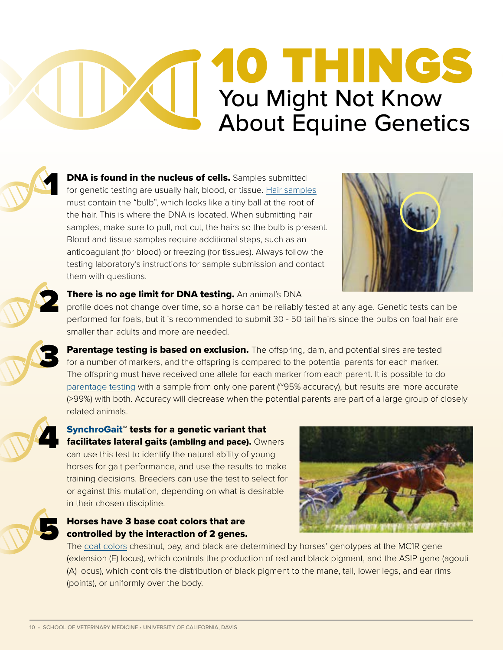## 10 THINGS d I You Might Not Know About Equine Genetics



**DNA is found in the nucleus of cells.** Samples submitted for genetic testing are usually hair, blood, or tissue. [Hair samples](https://vgl.ucdavis.edu/sample-collection/horse) must contain the "bulb", which looks like a tiny ball at the root of the hair. This is where the DNA is located. When submitting hair samples, make sure to pull, not cut, the hairs so the bulb is present. Blood and tissue samples require additional steps, such as an anticoagulant (for blood) or freezing (for tissues). Always follow the testing laboratory's instructions for sample submission and contact them with questions.





3

5

### There is no age limit for DNA testing. An animal's DNA

profile does not change over time, so a horse can be reliably tested at any age. Genetic tests can be performed for foals, but it is recommended to submit 30 - 50 tail hairs since the bulbs on foal hair are smaller than adults and more are needed.

Parentage testing is based on exclusion. The offspring, dam, and potential sires are tested for a number of markers, and the offspring is compared to the potential parents for each marker. The offspring must have received one allele for each marker from each parent. It is possible to do [parentage testing](https://vgl.ucdavis.edu/test/parentage-genetic-marker-report-horse) with a sample from only one parent (~95% accuracy), but results are more accurate (>99%) with both. Accuracy will decrease when the potential parents are part of a large group of closely related animals.



### [SynchroGait](https://vgl.ucdavis.edu/test/synchrogait)™ tests for a genetic variant that facilitates lateral gaits (ambling and pace). Owners can use this test to identify the natural ability of young

horses for gait performance, and use the results to make training decisions. Breeders can use the test to select for or against this mutation, depending on what is desirable in their chosen discipline.





The [coat colors](https://vgl.ucdavis.edu/resources/horse-coat-color) chestnut, bay, and black are determined by horses' genotypes at the MC1R gene (extension (E) locus), which controls the production of red and black pigment, and the ASIP gene (agouti (A) locus), which controls the distribution of black pigment to the mane, tail, lower legs, and ear rims (points), or uniformly over the body.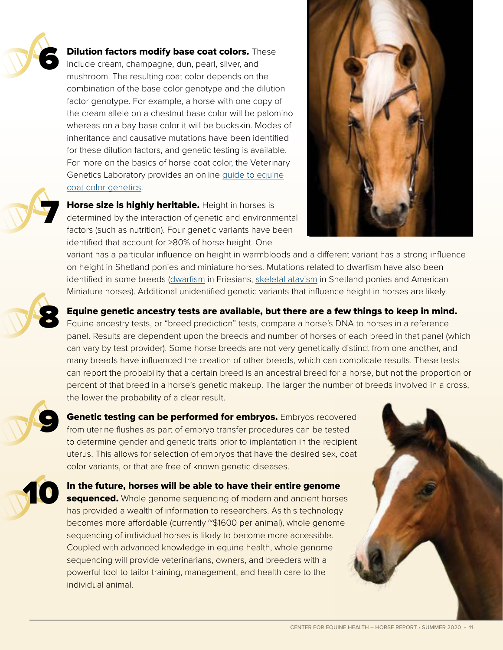

7

8

9

10

### **Dilution factors modify base coat colors.** These

include cream, champagne, dun, pearl, silver, and mushroom. The resulting coat color depends on the combination of the base color genotype and the dilution factor genotype. For example, a horse with one copy of the cream allele on a chestnut base color will be palomino whereas on a bay base color it will be buckskin. Modes of inheritance and causative mutations have been identified for these dilution factors, and genetic testing is available. For more on the basics of horse coat color, the Veterinary Genetics Laboratory provides an online [guide to equine](https://vgl.ucdavis.edu/resources/horse-coat-color) [coat color genetics.](https://vgl.ucdavis.edu/resources/horse-coat-color)



Horse size is highly heritable. Height in horses is determined by the interaction of genetic and environmental factors (such as nutrition). Four genetic variants have been identified that account for >80% of horse height. One

variant has a particular influence on height in warmbloods and a different variant has a strong influence on height in Shetland ponies and miniature horses. Mutations related to dwarfism have also been identified in some breeds [\(dwarfism](https://vgl.ucdavis.edu/test/friesian-horse-dwarfism) in Friesians, [skeletal atavism](https://vgl.ucdavis.edu/test/skeletal-atavism) in Shetland ponies and American Miniature horses). Additional unidentified genetic variants that influence height in horses are likely.

Equine genetic ancestry tests are available, but there are a few things to keep in mind. Equine ancestry tests, or "breed prediction" tests, compare a horse's DNA to horses in a reference panel. Results are dependent upon the breeds and number of horses of each breed in that panel (which can vary by test provider). Some horse breeds are not very genetically distinct from one another, and many breeds have influenced the creation of other breeds, which can complicate results. These tests can report the probability that a certain breed is an ancestral breed for a horse, but not the proportion or percent of that breed in a horse's genetic makeup. The larger the number of breeds involved in a cross, the lower the probability of a clear result.

Genetic testing can be performed for embryos. Embryos recovered from uterine flushes as part of embryo transfer procedures can be tested to determine gender and genetic traits prior to implantation in the recipient uterus. This allows for selection of embryos that have the desired sex, coat color variants, or that are free of known genetic diseases.

In the future, horses will be able to have their entire genome sequenced. Whole genome sequencing of modern and ancient horses has provided a wealth of information to researchers. As this technology becomes more affordable (currently "\$1600 per animal), whole genome sequencing of individual horses is likely to become more accessible. Coupled with advanced knowledge in equine health, whole genome sequencing will provide veterinarians, owners, and breeders with a powerful tool to tailor training, management, and health care to the individual animal.